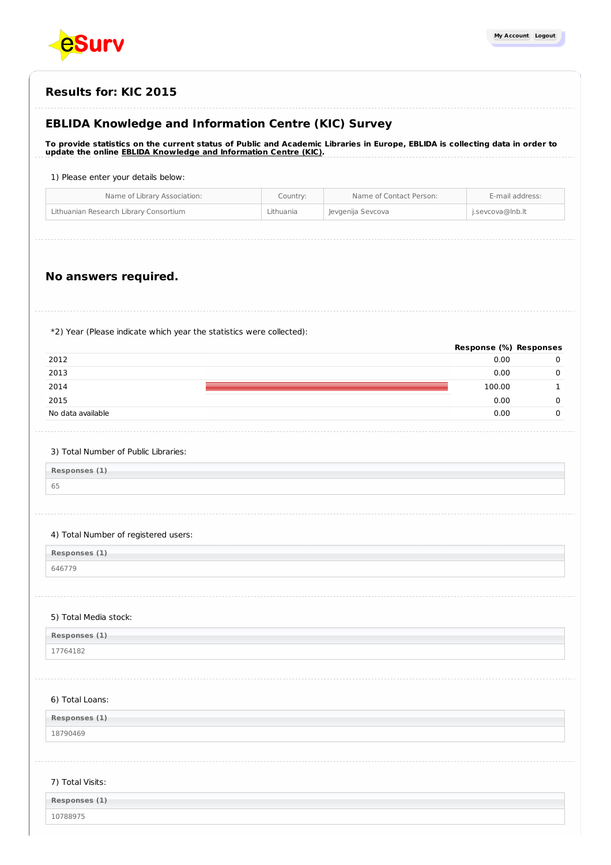

# **EBLIDA Knowledge and Information Centre (KIC) Survey**

To provide statistics on the current status of Public and Academic Libraries in Europe, EBLIDA is collecting data in order to **update the online EBLIDA Knowledge and [Information](http://www.eblida.org/activities/kic/) Centre (KIC).**

1) Please enter your details below:

| Lithuanian Research Library Consortium<br>Lithuania<br>Jevgenija Sevcova<br>j.sevcova@lnb.lt | Name of Library Association: | Country: | Name of Contact Person: | E-mail address: |
|----------------------------------------------------------------------------------------------|------------------------------|----------|-------------------------|-----------------|
|                                                                                              |                              |          |                         |                 |

# **No answers required.**

\*2) Year (Please indicate which year the statistics were collected):

|                   | Response (%) Responses |  |
|-------------------|------------------------|--|
| 2012              | 0.00                   |  |
| 2013              | 0.00                   |  |
| 2014              | 100.00                 |  |
| 2015              | 0.00                   |  |
| No data available | 0.00                   |  |
|                   |                        |  |

#### 3) Total Number of Public Libraries:

**Responses (1)** 65

#### 4) Total Number of registered users:

**Responses (1)**

646779

#### 5) Total Media stock:

| Responses (1) |  |
|---------------|--|
| 17764182      |  |

#### 6) Total Loans:

**Responses (1)**

18790469

#### 7) Total Visits:

| Responses (1) |  |  |
|---------------|--|--|
| 10788975      |  |  |
|               |  |  |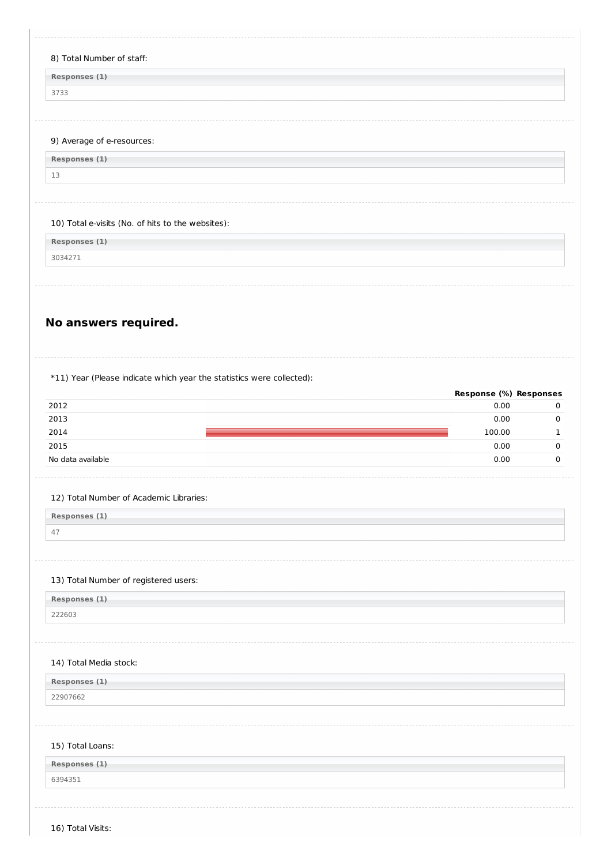**Responses (1)**

3733

#### 9) Average of e-resources:

**Responses (1)** 13

#### 10) Total e-visits (No. of hits to the websites):

**Responses (1)**

3034271

# **No answers required.**

#### \*11) Year (Please indicate which year the statistics were collected):

|                   | Response (%) Responses |  |
|-------------------|------------------------|--|
| 2012              | 0.00                   |  |
| 2013              | 0.00                   |  |
| 2014              | 100.00                 |  |
| 2015              | 0.00                   |  |
| No data available | 0.00                   |  |
|                   |                        |  |

#### 12) Total Number of Academic Libraries:

**Responses (1)** 47

# 13) Total Number of registered users:

**Responses (1)** 222603

#### 14) Total Media stock:

**Responses (1)** 22907662

### 15) Total Loans:

| Responses (1) |  |
|---------------|--|
| 6394351       |  |